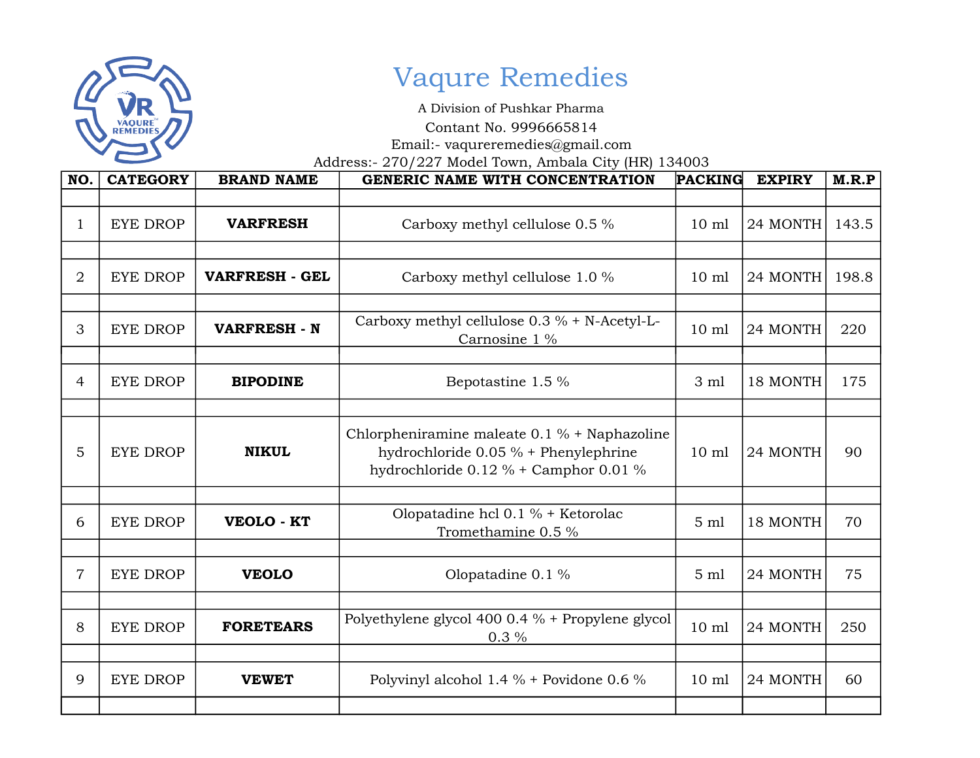

## Vaqure Remedies

A Division of Pushkar Pharma

Contant No. 9996665814

Email:- vaqureremedies@gmail.com

Address:- 270/227 Model Town, Ambala City (HR) 134003

| NO.            | <b>CATEGORY</b> | <b>BRAND NAME</b>     | GENERIC NAME WITH CONCENTRATION                                                                                                 | <b>PACKING</b>  | <b>EXPIRY</b> | M.R.P |
|----------------|-----------------|-----------------------|---------------------------------------------------------------------------------------------------------------------------------|-----------------|---------------|-------|
|                |                 |                       |                                                                                                                                 |                 |               |       |
| $\mathbf{1}$   | <b>EYE DROP</b> | <b>VARFRESH</b>       | Carboxy methyl cellulose 0.5 %                                                                                                  | $10 \text{ ml}$ | 24 MONTH      | 143.5 |
|                |                 |                       |                                                                                                                                 |                 |               |       |
| $\overline{2}$ | <b>EYE DROP</b> | <b>VARFRESH - GEL</b> | Carboxy methyl cellulose 1.0 %                                                                                                  | $10 \text{ ml}$ | 24 MONTH      | 198.8 |
|                |                 |                       |                                                                                                                                 |                 |               |       |
| 3              | <b>EYE DROP</b> | <b>VARFRESH - N</b>   | Carboxy methyl cellulose 0.3 % + N-Acetyl-L-<br>Carnosine 1 %                                                                   | $10 \text{ ml}$ | 24 MONTH      | 220   |
|                |                 |                       |                                                                                                                                 |                 |               |       |
| 4              | <b>EYE DROP</b> | <b>BIPODINE</b>       | Bepotastine 1.5 %                                                                                                               | 3 ml            | 18 MONTH      | 175   |
|                |                 |                       |                                                                                                                                 |                 |               |       |
| 5              | <b>EYE DROP</b> | <b>NIKUL</b>          | Chlorpheniramine maleate $0.1 %$ + Naphazoline<br>hydrochloride 0.05 % + Phenylephrine<br>hydrochloride 0.12 % + Camphor 0.01 % | $10 \text{ ml}$ | 24 MONTH      | 90    |
|                |                 |                       |                                                                                                                                 |                 |               |       |
| 6              | <b>EYE DROP</b> | <b>VEOLO - KT</b>     | Olopatadine hcl $0.1 \%$ + Ketorolac<br>Tromethamine 0.5 %                                                                      | $5 \text{ ml}$  | 18 MONTH      | 70    |
|                |                 |                       |                                                                                                                                 |                 |               |       |
| $\overline{7}$ | <b>EYE DROP</b> | <b>VEOLO</b>          | Olopatadine 0.1 %                                                                                                               | $5 \text{ ml}$  | 24 MONTH      | 75    |
|                |                 |                       |                                                                                                                                 |                 |               |       |
| 8              | <b>EYE DROP</b> | <b>FORETEARS</b>      | Polyethylene glycol 400 $0.4 \%$ + Propylene glycol<br>$0.3\%$                                                                  | $10 \text{ ml}$ | 24 MONTH      | 250   |
|                |                 |                       |                                                                                                                                 |                 |               |       |
| 9              | <b>EYE DROP</b> | <b>VEWET</b>          | Polyvinyl alcohol 1.4 $%$ + Povidone 0.6 $%$                                                                                    | $10 \text{ ml}$ | 24 MONTH      | 60    |
|                |                 |                       |                                                                                                                                 |                 |               |       |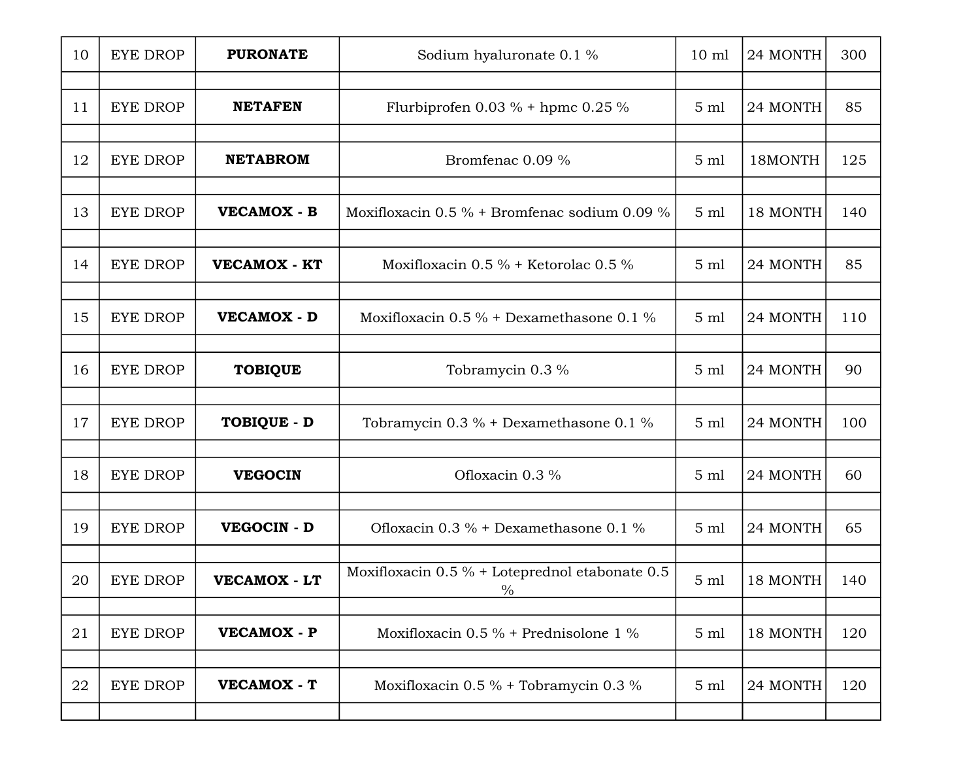| 10 | <b>EYE DROP</b> | <b>PURONATE</b>     | Sodium hyaluronate 0.1 %                               | $10 \text{ ml}$ | 24 MONTH | 300 |
|----|-----------------|---------------------|--------------------------------------------------------|-----------------|----------|-----|
|    |                 |                     |                                                        |                 |          |     |
| 11 | <b>EYE DROP</b> | <b>NETAFEN</b>      | Flurbiprofen $0.03 \%$ + hpmc $0.25 \%$                | $5 \text{ ml}$  | 24 MONTH | 85  |
|    |                 |                     |                                                        |                 |          |     |
| 12 | EYE DROP        | <b>NETABROM</b>     | Bromfenac 0.09 %                                       | $5 \text{ ml}$  | 18MONTH  | 125 |
|    |                 |                     |                                                        |                 |          |     |
| 13 | <b>EYE DROP</b> | <b>VECAMOX - B</b>  | Moxifloxacin $0.5\%$ + Bromfenac sodium 0.09 %         | $5 \text{ ml}$  | 18 MONTH | 140 |
|    |                 |                     |                                                        |                 |          |     |
| 14 | <b>EYE DROP</b> | <b>VECAMOX - KT</b> | Moxifloxacin $0.5\%$ + Ketorolac 0.5 %                 | $5 \text{ ml}$  | 24 MONTH | 85  |
|    |                 |                     |                                                        |                 |          |     |
| 15 | <b>EYE DROP</b> | <b>VECAMOX - D</b>  | Moxifloxacin $0.5\%$ + Dexamethasone 0.1 %             | $5 \text{ ml}$  | 24 MONTH | 110 |
|    |                 |                     |                                                        |                 |          |     |
| 16 | <b>EYE DROP</b> | <b>TOBIQUE</b>      | Tobramycin 0.3 %                                       | $5 \text{ ml}$  | 24 MONTH | 90  |
|    |                 |                     |                                                        |                 |          |     |
| 17 | <b>EYE DROP</b> | <b>TOBIQUE - D</b>  | Tobramycin 0.3 % + Dexamethasone 0.1 %                 | $5 \text{ ml}$  | 24 MONTH | 100 |
|    |                 |                     |                                                        |                 |          |     |
| 18 | <b>EYE DROP</b> | <b>VEGOCIN</b>      | Ofloxacin 0.3 %                                        | $5 \text{ ml}$  | 24 MONTH | 60  |
|    |                 |                     |                                                        |                 |          |     |
| 19 | <b>EYE DROP</b> | <b>VEGOCIN - D</b>  | Ofloxacin $0.3\%$ + Dexamethasone 0.1 %                | $5 \text{ ml}$  | 24 MONTH | 65  |
|    |                 |                     |                                                        |                 |          |     |
| 20 | <b>EYE DROP</b> | <b>VECAMOX - LT</b> | Moxifloxacin 0.5 % + Loteprednol etabonate 0.5<br>$\%$ | $5 \text{ ml}$  | 18 MONTH | 140 |
|    |                 |                     |                                                        |                 |          |     |
| 21 | EYE DROP        | VECAMOX - P         | Moxifloxacin $0.5\%$ + Prednisolone 1 %                | $5 \text{ ml}$  | 18 MONTH | 120 |
|    |                 |                     |                                                        |                 |          |     |
| 22 | <b>EYE DROP</b> | VECAMOX - T         | Moxifloxacin 0.5 % + Tobramycin 0.3 %                  | $5 \text{ ml}$  | 24 MONTH | 120 |
|    |                 |                     |                                                        |                 |          |     |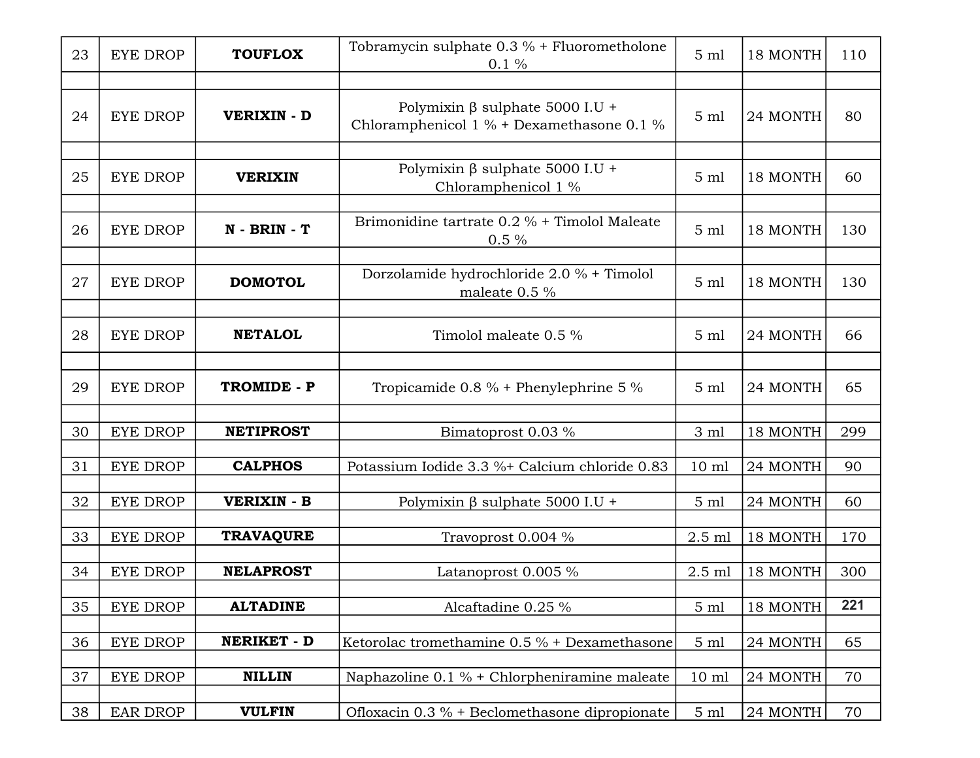| 23 | <b>EYE DROP</b> | <b>TOUFLOX</b>     | Tobramycin sulphate $0.3 %$ + Fluorometholone<br>$0.1\%$                           | $5 \text{ ml}$  | 18 MONTH | 110 |
|----|-----------------|--------------------|------------------------------------------------------------------------------------|-----------------|----------|-----|
|    |                 |                    |                                                                                    |                 |          |     |
| 24 | <b>EYE DROP</b> | <b>VERIXIN - D</b> | Polymixin $\beta$ sulphate 5000 I.U +<br>Chloramphenicol 1 % + Dexamethasone 0.1 % | $5 \text{ ml}$  | 24 MONTH | 80  |
|    |                 |                    |                                                                                    |                 |          |     |
| 25 | <b>EYE DROP</b> | <b>VERIXIN</b>     | Polymixin $\beta$ sulphate 5000 I.U +<br>Chloramphenicol 1 %                       | $5 \text{ ml}$  | 18 MONTH | 60  |
|    |                 |                    |                                                                                    |                 |          |     |
| 26 | <b>EYE DROP</b> | $N - BRIN - T$     | Brimonidine tartrate 0.2 % + Timolol Maleate<br>$0.5 \%$                           | $5 \text{ ml}$  | 18 MONTH | 130 |
|    |                 |                    |                                                                                    |                 |          |     |
| 27 | <b>EYE DROP</b> | <b>DOMOTOL</b>     | Dorzolamide hydrochloride 2.0 % + Timolol<br>maleate 0.5 %                         | $5 \text{ ml}$  | 18 MONTH | 130 |
|    |                 |                    |                                                                                    |                 |          |     |
| 28 | <b>EYE DROP</b> | <b>NETALOL</b>     | Timolol maleate 0.5 %                                                              | $5 \text{ ml}$  | 24 MONTH | 66  |
|    |                 |                    |                                                                                    |                 |          |     |
| 29 | <b>EYE DROP</b> | <b>TROMIDE - P</b> | Tropicamide $0.8 \%$ + Phenylephrine 5 %                                           | $5 \text{ ml}$  | 24 MONTH | 65  |
|    |                 |                    |                                                                                    |                 |          |     |
| 30 | EYE DROP        | <b>NETIPROST</b>   | Bimatoprost 0.03 %                                                                 | 3 ml            | 18 MONTH | 299 |
|    |                 |                    |                                                                                    |                 |          |     |
| 31 | EYE DROP        | <b>CALPHOS</b>     | Potassium Iodide 3.3 %+ Calcium chloride 0.83                                      | $10 \text{ ml}$ | 24 MONTH | 90  |
| 32 | <b>EYE DROP</b> | <b>VERIXIN - B</b> | Polymixin $\beta$ sulphate 5000 I.U +                                              | $5 \text{ ml}$  | 24 MONTH | 60  |
|    |                 |                    |                                                                                    |                 |          |     |
| 33 | <b>EYE DROP</b> | <b>TRAVAQURE</b>   | Travoprost 0.004 %                                                                 | $2.5$ ml        | 18 MONTH | 170 |
|    |                 |                    |                                                                                    |                 |          |     |
| 34 | <b>EYE DROP</b> | <b>NELAPROST</b>   | Latanoprost 0.005 %                                                                | $2.5$ ml        | 18 MONTH | 300 |
|    |                 |                    |                                                                                    |                 |          |     |
| 35 | EYE DROP        | <b>ALTADINE</b>    | Alcaftadine 0.25 %                                                                 | $5 \text{ ml}$  | 18 MONTH | 221 |
|    |                 |                    |                                                                                    |                 |          |     |
| 36 | EYE DROP        | <b>NERIKET - D</b> | Ketorolac tromethamine 0.5 % + Dexamethasone                                       | $5 \text{ ml}$  | 24 MONTH | 65  |
| 37 | <b>EYE DROP</b> | <b>NILLIN</b>      | Naphazoline $0.1\%$ + Chlorpheniramine maleate                                     | $10 \text{ ml}$ | 24 MONTH | 70  |
|    |                 |                    |                                                                                    |                 |          |     |
| 38 | EAR DROP        | <b>VULFIN</b>      | Ofloxacin $0.3\%$ + Beclomethasone dipropionate                                    | $5 \mathrm{m}$  | 24 MONTH | 70  |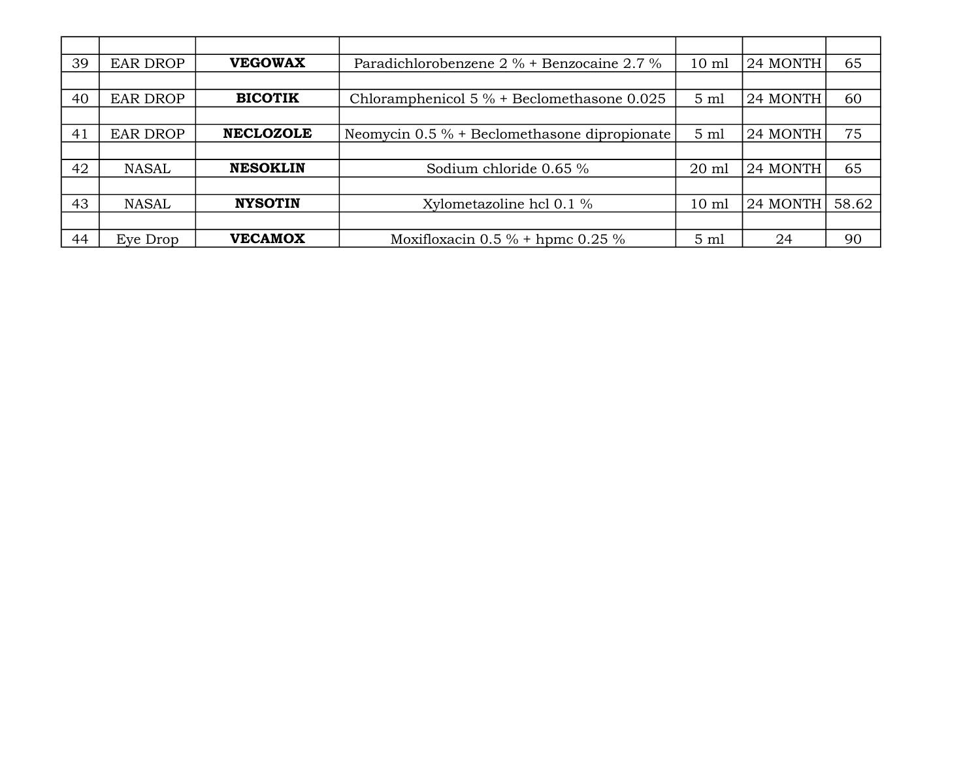| 39 | <b>EAR DROP</b> | <b>VEGOWAX</b>   | Paradichlorobenzene 2 % + Benzocaine 2.7 %     | $10 \text{ ml}$ | 24 MONTH | 65    |
|----|-----------------|------------------|------------------------------------------------|-----------------|----------|-------|
|    |                 |                  |                                                |                 |          |       |
| 40 | <b>EAR DROP</b> | <b>BICOTIK</b>   | Chloramphenicol $5\%$ + Beclomethasone 0.025   | $5 \text{ ml}$  | 24 MONTH | 60    |
|    |                 |                  |                                                |                 |          |       |
| 41 | <b>EAR DROP</b> | <b>NECLOZOLE</b> | Neomycin $0.5\%$ + Beclomethasone dipropionate | $5 \text{ ml}$  | 24 MONTH | 75    |
|    |                 |                  |                                                |                 |          |       |
| 42 | <b>NASAL</b>    | <b>NESOKLIN</b>  | Sodium chloride 0.65 %                         | 20 ml           | 24 MONTH | 65    |
|    |                 |                  |                                                |                 |          |       |
| 43 | <b>NASAL</b>    | <b>NYSOTIN</b>   | Xylometazoline hcl 0.1 %                       | $10 \text{ ml}$ | 24 MONTH | 58.62 |
|    |                 |                  |                                                |                 |          |       |
| 44 | Eye Drop        | <b>VECAMOX</b>   | Moxifloxacin $0.5\%$ + hpmc $0.25\%$           | $5 \text{ ml}$  | 24       | 90    |